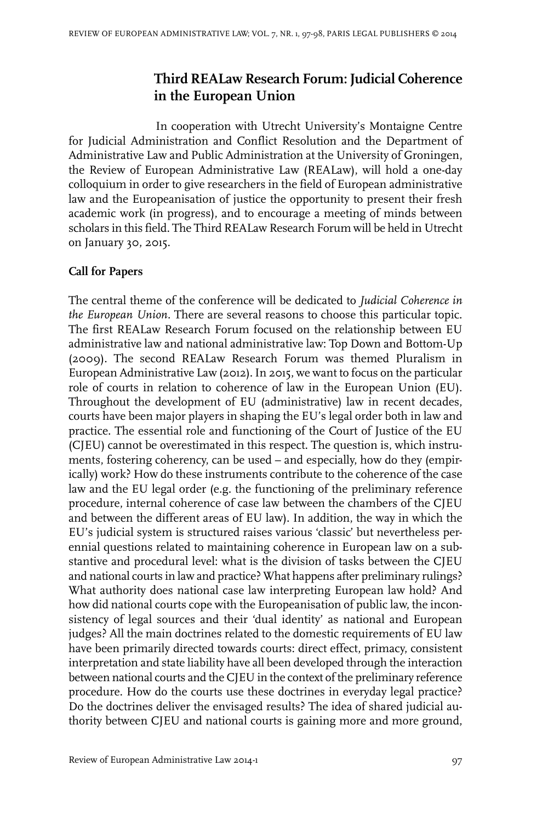## **Third REALaw Research Forum: Judicial Coherence in the European Union**

In cooperation with Utrecht University's Montaigne Centre for Judicial Administration and Conflict Resolution and the Department of Administrative Law and Public Administration at the University of Groningen, the Review of European Administrative Law (REALaw), will hold a one-day colloquium in order to give researchers in the field of European administrative law and the Europeanisation of justice the opportunity to present their fresh academic work (in progress), and to encourage a meeting of minds between scholars in this field. The Third REALaw Research Forum will be held in Utrecht on January 30, 2015.

## **Call for Papers**

The central theme of the conference will be dedicated to *Judicial Coherence in the European Union.* There are several reasons to choose this particular topic. The first REALaw Research Forum focused on the relationship between EU administrative law and national administrative law: Top Down and Bottom-Up (2009). The second REALaw Research Forum was themed Pluralism in European Administrative Law (2012). In 2015, we want to focus on the particular role of courts in relation to coherence of law in the European Union (EU). Throughout the development of EU (administrative) law in recent decades, courts have been major players in shaping the EU's legal order both in law and practice. The essential role and functioning of the Court of Justice of the EU (CJEU) cannot be overestimated in this respect. The question is, which instruments, fostering coherency, can be used – and especially, how do they (empirically) work? How do these instruments contribute to the coherence of the case law and the EU legal order (e.g. the functioning of the preliminary reference procedure, internal coherence of case law between the chambers of the CJEU and between the different areas of EU law). In addition, the way in which the EU's judicial system is structured raises various 'classic' but nevertheless perennial questions related to maintaining coherence in European law on a substantive and procedural level: what is the division of tasks between the CJEU and national courts in law and practice? What happens after preliminary rulings? What authority does national case law interpreting European law hold? And how did national courts cope with the Europeanisation of public law, the inconsistency of legal sources and their 'dual identity' as national and European judges? All the main doctrines related to the domestic requirements of EU law have been primarily directed towards courts: direct effect, primacy, consistent interpretation and state liability have all been developed through the interaction between national courts and the CJEU in the context of the preliminary reference procedure. How do the courts use these doctrines in everyday legal practice? Do the doctrines deliver the envisaged results? The idea of shared judicial authority between CJEU and national courts is gaining more and more ground,